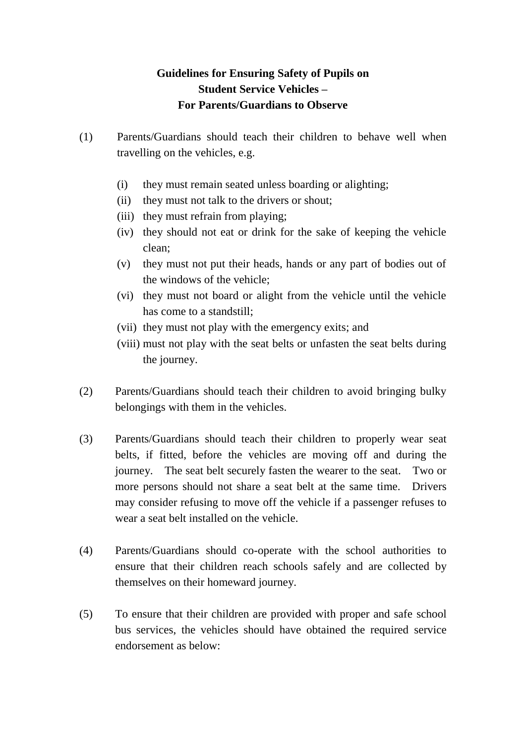# **Guidelines for Ensuring Safety of Pupils on Student Service Vehicles – For Parents/Guardians to Observe**

- (1) Parents/Guardians should teach their children to behave well when travelling on the vehicles, e.g.
	- (i) they must remain seated unless boarding or alighting;
	- (ii) they must not talk to the drivers or shout;
	- (iii) they must refrain from playing;
	- (iv) they should not eat or drink for the sake of keeping the vehicle clean;
	- (v) they must not put their heads, hands or any part of bodies out of the windows of the vehicle;
	- (vi) they must not board or alight from the vehicle until the vehicle has come to a standstill;
	- (vii) they must not play with the emergency exits; and
	- (viii) must not play with the seat belts or unfasten the seat belts during the journey.
- (2) Parents/Guardians should teach their children to avoid bringing bulky belongings with them in the vehicles.
- (3) Parents/Guardians should teach their children to properly wear seat belts, if fitted, before the vehicles are moving off and during the journey. The seat belt securely fasten the wearer to the seat. Two or more persons should not share a seat belt at the same time. Drivers may consider refusing to move off the vehicle if a passenger refuses to wear a seat belt installed on the vehicle.
- (4) Parents/Guardians should co-operate with the school authorities to ensure that their children reach schools safely and are collected by themselves on their homeward journey.
- (5) To ensure that their children are provided with proper and safe school bus services, the vehicles should have obtained the required service endorsement as below: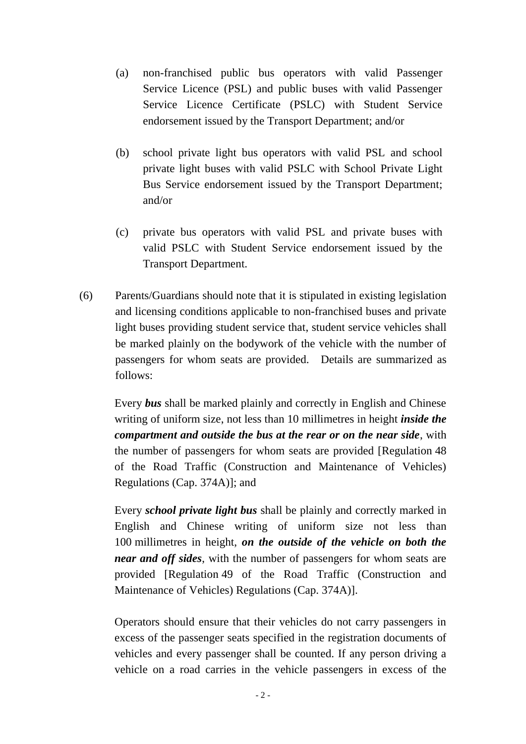- (a) non-franchised public bus operators with valid Passenger Service Licence (PSL) and public buses with valid Passenger Service Licence Certificate (PSLC) with Student Service endorsement issued by the Transport Department; and/or
- (b) school private light bus operators with valid PSL and school private light buses with valid PSLC with School Private Light Bus Service endorsement issued by the Transport Department; and/or
- (c) private bus operators with valid PSL and private buses with valid PSLC with Student Service endorsement issued by the Transport Department.
- (6) Parents/Guardians should note that it is stipulated in existing legislation and licensing conditions applicable to non-franchised buses and private light buses providing student service that, student service vehicles shall be marked plainly on the bodywork of the vehicle with the number of passengers for whom seats are provided. Details are summarized as follows:

Every *bus* shall be marked plainly and correctly in English and Chinese writing of uniform size, not less than 10 millimetres in height *inside the compartment and outside the bus at the rear or on the near side*, with the number of passengers for whom seats are provided [Regulation 48 of the Road Traffic (Construction and Maintenance of Vehicles) Regulations (Cap. 374A)]; and

Every *school private light bus* shall be plainly and correctly marked in English and Chinese writing of uniform size not less than 100 millimetres in height, *on the outside of the vehicle on both the near and off sides*, with the number of passengers for whom seats are provided [Regulation 49 of the Road Traffic (Construction and Maintenance of Vehicles) Regulations (Cap. 374A)].

Operators should ensure that their vehicles do not carry passengers in excess of the passenger seats specified in the registration documents of vehicles and every passenger shall be counted. If any person driving a vehicle on a road carries in the vehicle passengers in excess of the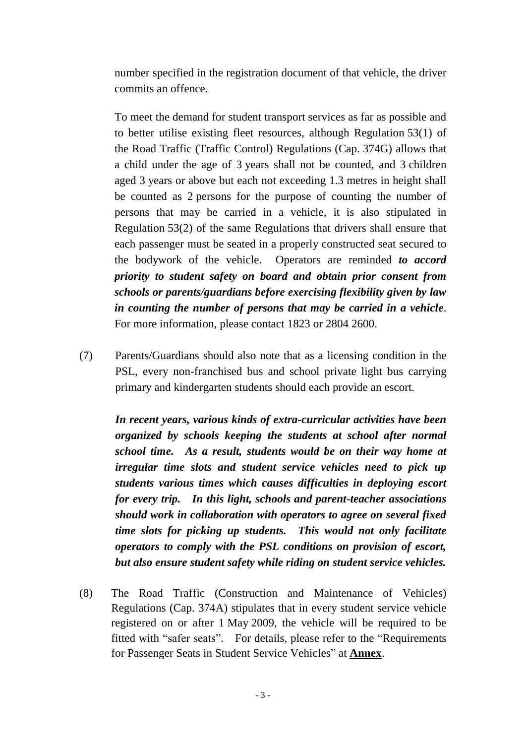number specified in the registration document of that vehicle, the driver commits an offence.

To meet the demand for student transport services as far as possible and to better utilise existing fleet resources, although Regulation 53(1) of the Road Traffic (Traffic Control) Regulations (Cap. 374G) allows that a child under the age of 3 years shall not be counted, and 3 children aged 3 years or above but each not exceeding 1.3 metres in height shall be counted as 2 persons for the purpose of counting the number of persons that may be carried in a vehicle, it is also stipulated in Regulation 53(2) of the same Regulations that drivers shall ensure that each passenger must be seated in a properly constructed seat secured to the bodywork of the vehicle. Operators are reminded *to accord priority to student safety on board and obtain prior consent from schools or parents/guardians before exercising flexibility given by law in counting the number of persons that may be carried in a vehicle*. For more information, please contact 1823 or 2804 2600.

(7) Parents/Guardians should also note that as a licensing condition in the PSL, every non-franchised bus and school private light bus carrying primary and kindergarten students should each provide an escort.

*In recent years, various kinds of extra-curricular activities have been organized by schools keeping the students at school after normal school time. As a result, students would be on their way home at irregular time slots and student service vehicles need to pick up students various times which causes difficulties in deploying escort for every trip. In this light, schools and parent-teacher associations should work in collaboration with operators to agree on several fixed time slots for picking up students. This would not only facilitate operators to comply with the PSL conditions on provision of escort, but also ensure student safety while riding on student service vehicles.*

(8) The Road Traffic (Construction and Maintenance of Vehicles) Regulations (Cap. 374A) stipulates that in every student service vehicle registered on or after 1 May 2009, the vehicle will be required to be fitted with "safer seats". For details, please refer to the "Requirements for Passenger Seats in Student Service Vehicles" at **Annex**.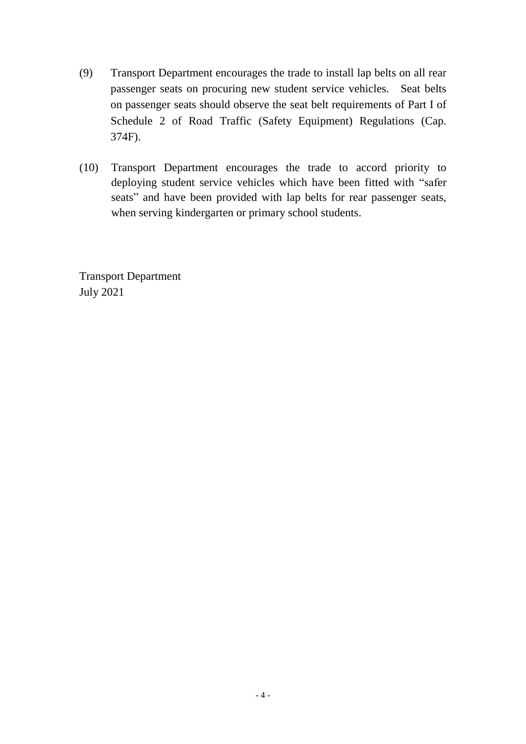- (9) Transport Department encourages the trade to install lap belts on all rear passenger seats on procuring new student service vehicles. Seat belts on passenger seats should observe the seat belt requirements of Part I of Schedule 2 of Road Traffic (Safety Equipment) Regulations (Cap. 374F).
- (10) Transport Department encourages the trade to accord priority to deploying student service vehicles which have been fitted with "safer seats" and have been provided with lap belts for rear passenger seats, when serving kindergarten or primary school students.

Transport Department July 2021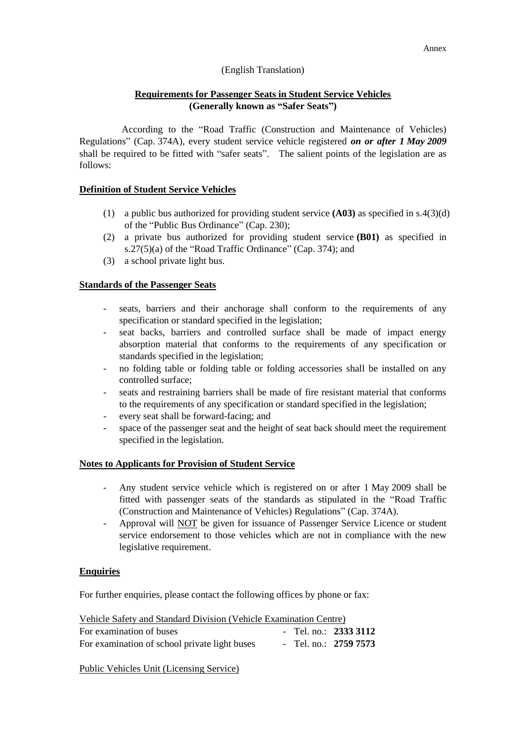#### (English Translation)

## **Requirements for Passenger Seats in Student Service Vehicles (Generally known as "Safer Seats")**

According to the "Road Traffic (Construction and Maintenance of Vehicles) Regulations" (Cap. 374A), every student service vehicle registered *on or after 1 May 2009* shall be required to be fitted with "safer seats". The salient points of the legislation are as follows:

### **Definition of Student Service Vehicles**

- (1) a public bus authorized for providing student service **(A03)** as specified in s.4(3)(d) of the "Public Bus Ordinance" (Cap. 230);
- (2) a private bus authorized for providing student service **(B01)** as specified in s.27(5)(a) of the "Road Traffic Ordinance" (Cap. 374); and
- (3) a school private light bus.

#### **Standards of the Passenger Seats**

- seats, barriers and their anchorage shall conform to the requirements of any specification or standard specified in the legislation;
- seat backs, barriers and controlled surface shall be made of impact energy absorption material that conforms to the requirements of any specification or standards specified in the legislation;
- no folding table or folding table or folding accessories shall be installed on any controlled surface;
- seats and restraining barriers shall be made of fire resistant material that conforms to the requirements of any specification or standard specified in the legislation;
- every seat shall be forward-facing; and
- space of the passenger seat and the height of seat back should meet the requirement specified in the legislation.

#### **Notes to Applicants for Provision of Student Service**

- Any student service vehicle which is registered on or after 1 May 2009 shall be fitted with passenger seats of the standards as stipulated in the "Road Traffic (Construction and Maintenance of Vehicles) Regulations" (Cap. 374A).
- Approval will NOT be given for issuance of Passenger Service Licence or student service endorsement to those vehicles which are not in compliance with the new legislative requirement.

## **Enquiries**

For further enquiries, please contact the following offices by phone or fax:

| Vehicle Safety and Standard Division (Vehicle Examination Centre) |  |                        |
|-------------------------------------------------------------------|--|------------------------|
| For examination of buses                                          |  | - Tel. no.: $23333112$ |
| For examination of school private light buses                     |  | - Tel. no.: $27597573$ |

Public Vehicles Unit (Licensing Service)